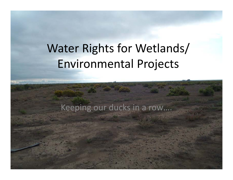# Water Rights for Wetlands/ Environmental Projects

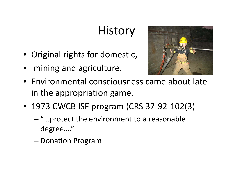# **History**

- Original rights for domestic,
- $\bullet$ mining and agriculture.



- $\bullet\,$  Environmental consciousness came about late in the appropriation game.
- 1973 CWCB ISF program (CRS 37‐92‐102(3)
	- "…protect the environment to <sup>a</sup> reasonable degree…."
	- –— Donation Program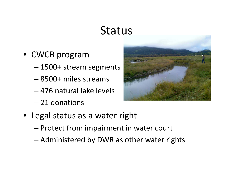#### **Status**

- CWCB program
	- 1500+ stream segments
	- 8500+ miles streams
	- 476 natural lake levels
	- $-$  21 donations



- Legal status as <sup>a</sup> water right
	- Protect from impairment in water court
	- –Administered by DWR as other water rights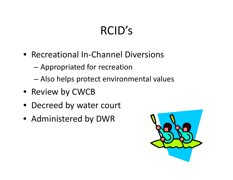# RCID's

- Recreational In-Channel Diversions
	- –Appropriated for recreation
	- –Also helps protect environmental values
- Review by CWCB
- Decreed by water court
- Administered by DWR

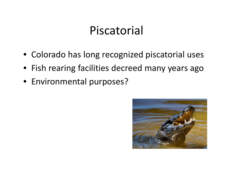#### Piscatorial

- Colorado has long recognized piscatorial uses
- Fish rearing facilities decreed many years ago
- Environmental purposes?

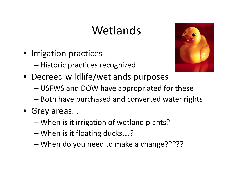## Wetlands

- Irrigation practices
	- Historic practices recognized
- Decreed wildlife/wetlands purposes
	- USFWS and DOW have appropriated for these
	- $-$  Both have purchased and converted water rights
- Grey areas…
	- –When is it irrigation of wetland plants?
	- –When is it floating ducks….?
	- When do you need to make <sup>a</sup> change?????

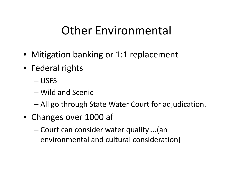### Other Environmental

- Mitigation banking or 1:1 replacement
- Federal rights
	- USFS
	- Wild and Scenic
	- –All go through State Water Court for adjudication.
- Changes over 1000 af
	- – Court can consider water quality….(an environmental and cultural consideration)